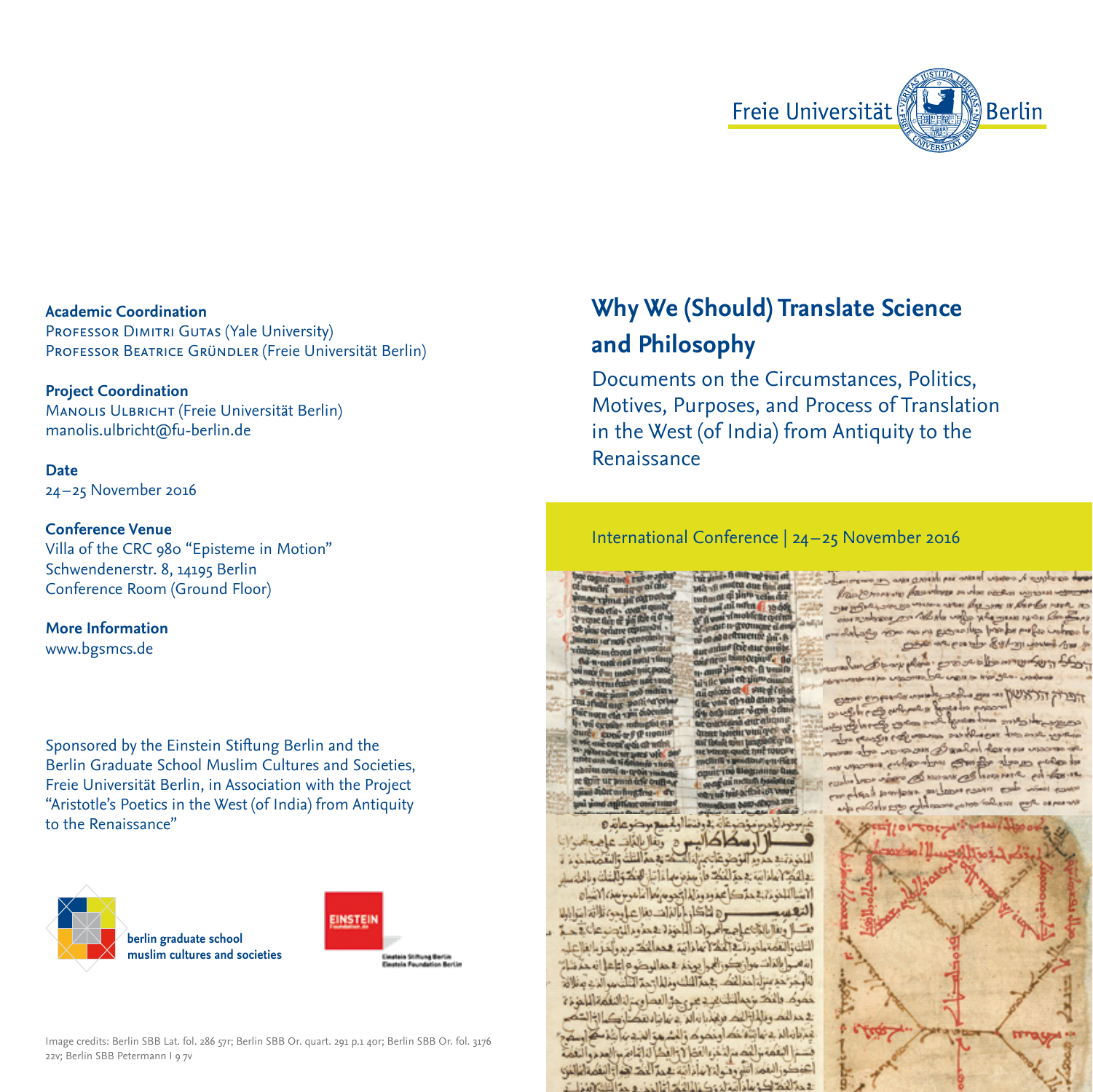

# **Academic Coordination**

PROFESSOR DIMITRI GUTAS (Yale University) PROFESSOR BEATRICE GRÜNDLER (Freie Universität Berlin)

#### **Project Coordination**

Manolis Ulbricht (Freie Universität Berlin) manolis.ulbricht@fu-berlin.de

## **Date**

24 –25 November 2016

### **Conference Venue**

Villa of the CRC 980 "Episteme in Motion" Schwendenerstr. 8, 14195 Berlin Conference Room (Ground Floor)

### **More Information**  www.bgsmcs.de

Sponsored by the Einstein Stiftung Berlin and the Berlin Graduate School Muslim Cultures and Societies, Freie Universität Berlin, in Association with the Project "Aristotle's Poetics in the West (of India) from Antiquity to the Renaissance"



Image credits: Berlin SBB Lat. fol. 286 57r; Berlin SBB Or. quart. 291 p.1 40r; Berlin SBB Or. fol. 3176 22v: Berlin SBB Petermann Lo 7v

# **Why We (Should) Translate Science and Philosophy**

Documents on the Circumstances, Politics, Motives, Purposes, and Process of Translation in the West (of India) from Antiquity to the Renaissance

### International Conference | 24 –25 November 2016

the similar the day only wint att

مرمز فنحر فاتح وفتغا أوله عسع موضوعاته 0 أوسكاكاليم ورفال للذات عاجمة امزانا للغرغة بفحير بمالغ وشر فأتعمل أألقك تفسم الغلف والتقم ساخرخ از : والحَكِّمُ لعامَ اللَّهِ عَبْرَ الْحَكِّ فَإِنَّ جِمْعَ مِهَا مَا تَبَارُ الْوَلَكَ وَالْعَلَيْ وَالْوَلِيسِيل الشاللغونة بفحقك بمفود ونالم الجحوم ماأغامو يزمعنه الشاه — ه اتاكان بابالغ ات بغلا عامده تلاقع ابتيادية تسل وبغلا بالتائنات اصدامها انسا المخذاء فحذوم النادستان فيحدثه الثالث والتعداما فونقطة الحافا تعافا انبق همما انك بريم وإخر بالغلا علم [شعرج|بالغات معران يكورالهج| يوخم به حماليرضو فواتيا عالى حمّ ذلات للأوخر خدينزل اخذلتك عمة الشاد ونلما رحم التأسير الذي مغلافة خمرك والنك بزجمالتات ين د عن حق العدا وعزلنا النفكة اللحزيزة 2 حرائك ونابا إذلك فريجا بارائي 2 نيانا ونقك وكالذالتكم فحراه المسابثة نك اونكرك والشرهو النيستا بتمكر استعد فسم النفعة والعدم للخزء الفذا لا والفظا له المسالم مع النفعة اعوكوزالغم أسووق لناما ذائبة عمدالحد هوازالتفعاما انو Chambre : with doing a stable to with a

careface is expect to these sea themes was no exerci-Raintenance passiones musica necessi FIN MORELSON BOATS was being a booker our norderes por fall de volge pla mas res e what we want and and a prompt of the way out the post of the most want

יכלל השלישיום בלטיבסים לאו אירואי

es colomes

man Bankon dan m enter themes with a selve bor view & www. as however ed Low 18